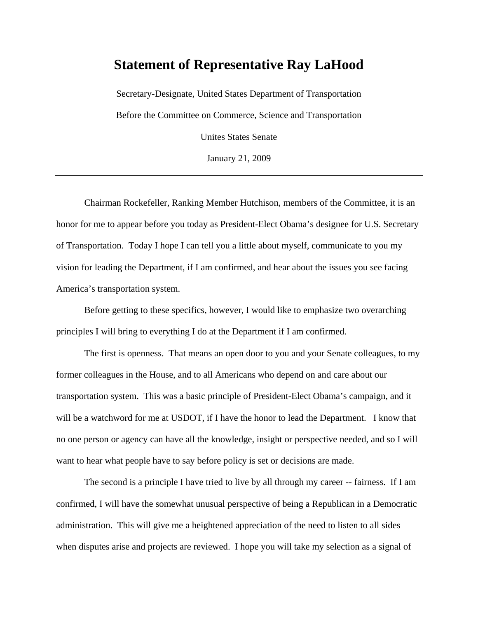## **Statement of Representative Ray LaHood**

Secretary-Designate, United States Department of Transportation Before the Committee on Commerce, Science and Transportation Unites States Senate

January 21, 2009

Chairman Rockefeller, Ranking Member Hutchison, members of the Committee, it is an honor for me to appear before you today as President-Elect Obama's designee for U.S. Secretary of Transportation. Today I hope I can tell you a little about myself, communicate to you my vision for leading the Department, if I am confirmed, and hear about the issues you see facing America's transportation system.

Before getting to these specifics, however, I would like to emphasize two overarching principles I will bring to everything I do at the Department if I am confirmed.

The first is openness. That means an open door to you and your Senate colleagues, to my former colleagues in the House, and to all Americans who depend on and care about our transportation system. This was a basic principle of President-Elect Obama's campaign, and it will be a watchword for me at USDOT, if I have the honor to lead the Department. I know that no one person or agency can have all the knowledge, insight or perspective needed, and so I will want to hear what people have to say before policy is set or decisions are made.

The second is a principle I have tried to live by all through my career -- fairness. If I am confirmed, I will have the somewhat unusual perspective of being a Republican in a Democratic administration. This will give me a heightened appreciation of the need to listen to all sides when disputes arise and projects are reviewed. I hope you will take my selection as a signal of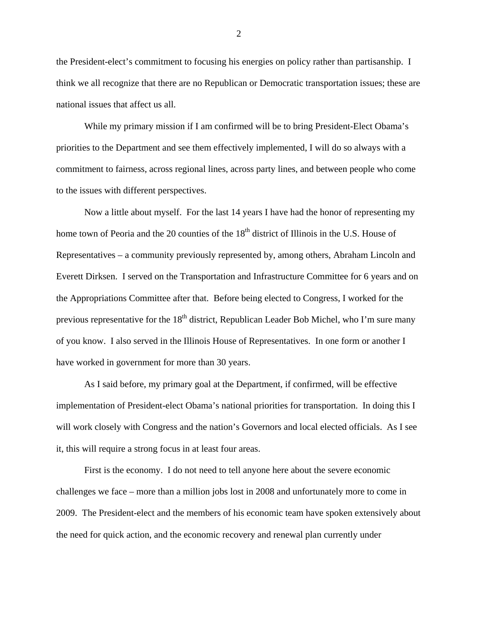the President-elect's commitment to focusing his energies on policy rather than partisanship. I think we all recognize that there are no Republican or Democratic transportation issues; these are national issues that affect us all.

While my primary mission if I am confirmed will be to bring President-Elect Obama's priorities to the Department and see them effectively implemented, I will do so always with a commitment to fairness, across regional lines, across party lines, and between people who come to the issues with different perspectives.

Now a little about myself. For the last 14 years I have had the honor of representing my home town of Peoria and the 20 counties of the  $18<sup>th</sup>$  district of Illinois in the U.S. House of Representatives – a community previously represented by, among others, Abraham Lincoln and Everett Dirksen. I served on the Transportation and Infrastructure Committee for 6 years and on the Appropriations Committee after that. Before being elected to Congress, I worked for the previous representative for the  $18<sup>th</sup>$  district, Republican Leader Bob Michel, who I'm sure many of you know. I also served in the Illinois House of Representatives. In one form or another I have worked in government for more than 30 years.

As I said before, my primary goal at the Department, if confirmed, will be effective implementation of President-elect Obama's national priorities for transportation. In doing this I will work closely with Congress and the nation's Governors and local elected officials. As I see it, this will require a strong focus in at least four areas.

First is the economy. I do not need to tell anyone here about the severe economic challenges we face – more than a million jobs lost in 2008 and unfortunately more to come in 2009. The President-elect and the members of his economic team have spoken extensively about the need for quick action, and the economic recovery and renewal plan currently under

2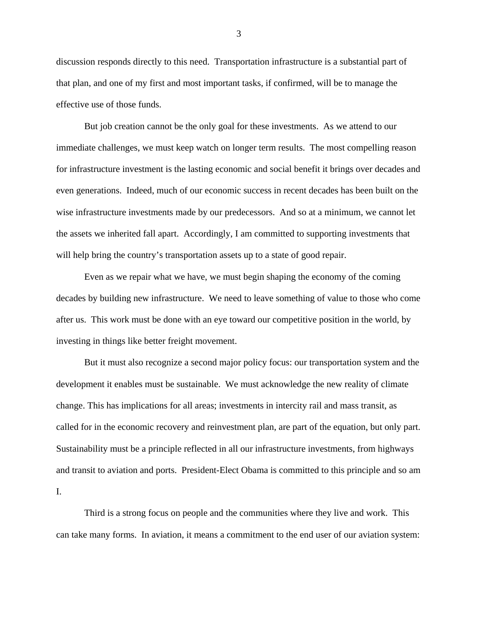discussion responds directly to this need. Transportation infrastructure is a substantial part of that plan, and one of my first and most important tasks, if confirmed, will be to manage the effective use of those funds.

But job creation cannot be the only goal for these investments. As we attend to our immediate challenges, we must keep watch on longer term results. The most compelling reason for infrastructure investment is the lasting economic and social benefit it brings over decades and even generations. Indeed, much of our economic success in recent decades has been built on the wise infrastructure investments made by our predecessors. And so at a minimum, we cannot let the assets we inherited fall apart. Accordingly, I am committed to supporting investments that will help bring the country's transportation assets up to a state of good repair.

Even as we repair what we have, we must begin shaping the economy of the coming decades by building new infrastructure. We need to leave something of value to those who come after us. This work must be done with an eye toward our competitive position in the world, by investing in things like better freight movement.

But it must also recognize a second major policy focus: our transportation system and the development it enables must be sustainable. We must acknowledge the new reality of climate change. This has implications for all areas; investments in intercity rail and mass transit, as called for in the economic recovery and reinvestment plan, are part of the equation, but only part. Sustainability must be a principle reflected in all our infrastructure investments, from highways and transit to aviation and ports. President-Elect Obama is committed to this principle and so am I.

Third is a strong focus on people and the communities where they live and work. This can take many forms. In aviation, it means a commitment to the end user of our aviation system:

3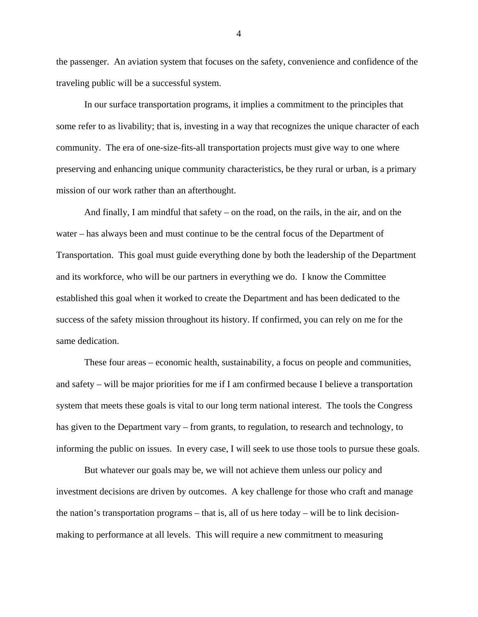the passenger. An aviation system that focuses on the safety, convenience and confidence of the traveling public will be a successful system.

In our surface transportation programs, it implies a commitment to the principles that some refer to as livability; that is, investing in a way that recognizes the unique character of each community. The era of one-size-fits-all transportation projects must give way to one where preserving and enhancing unique community characteristics, be they rural or urban, is a primary mission of our work rather than an afterthought.

And finally, I am mindful that safety – on the road, on the rails, in the air, and on the water – has always been and must continue to be the central focus of the Department of Transportation. This goal must guide everything done by both the leadership of the Department and its workforce, who will be our partners in everything we do. I know the Committee established this goal when it worked to create the Department and has been dedicated to the success of the safety mission throughout its history. If confirmed, you can rely on me for the same dedication.

 These four areas – economic health, sustainability, a focus on people and communities, and safety – will be major priorities for me if I am confirmed because I believe a transportation system that meets these goals is vital to our long term national interest. The tools the Congress has given to the Department vary – from grants, to regulation, to research and technology, to informing the public on issues. In every case, I will seek to use those tools to pursue these goals.

But whatever our goals may be, we will not achieve them unless our policy and investment decisions are driven by outcomes. A key challenge for those who craft and manage the nation's transportation programs – that is, all of us here today – will be to link decisionmaking to performance at all levels. This will require a new commitment to measuring

4